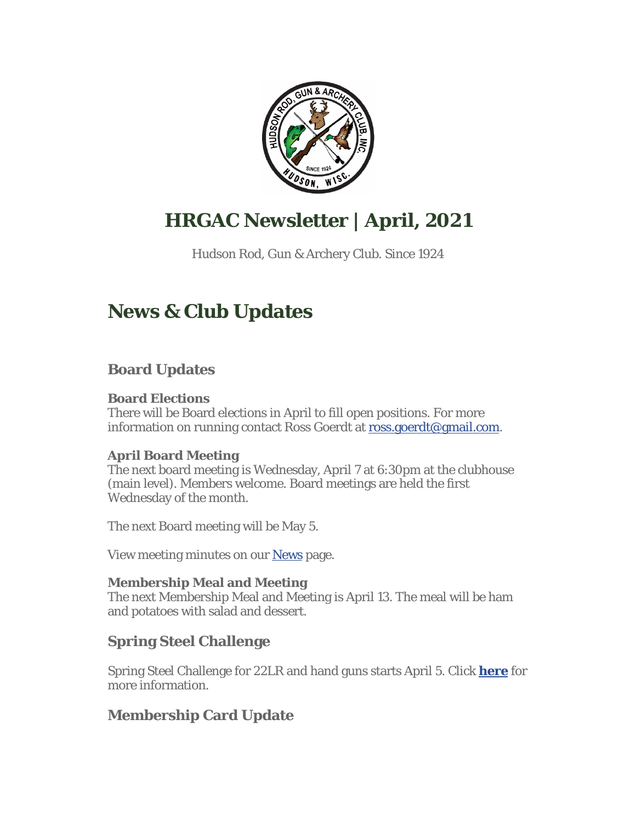

# **HRGAC Newsletter | April, 2021**

Hudson Rod, Gun & Archery Club. Since 1924

# **News & Club Updates**

# **Board Updates**

#### **Board Elections**

There will be Board elections in April to fill open positions. For more information on running contact Ross Goerdt at ross.goerdt@gmail.com.

#### **April Board Meeting**

The next board meeting is Wednesday, April 7 at 6:30pm at the clubhouse (main level). Members welcome. Board meetings are held the first Wednesday of the month.

The next Board meeting will be May 5.

View meeting minutes on our News page.

#### **Membership Meal and Meeting**

The next Membership Meal and Meeting is April 13. The meal will be ham and potatoes with salad and dessert.

## **Spring Steel Challenge**

Spring Steel Challenge for 22LR and hand guns starts April 5. Click **here** for more information.

# **Membership Card Update**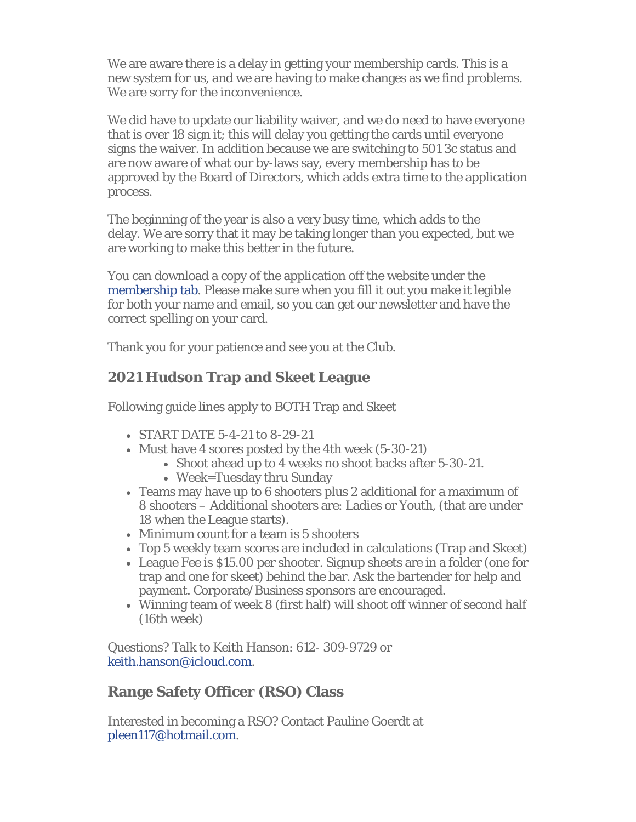We are aware there is a delay in getting your membership cards. This is a new system for us, and we are having to make changes as we find problems. We are sorry for the inconvenience.

We did have to update our liability waiver, and we do need to have everyone that is over 18 sign it; this will delay you getting the cards until everyone signs the waiver. In addition because we are switching to 501 3c status and are now aware of what our by-laws say, every membership has to be approved by the Board of Directors, which adds extra time to the application process.

The beginning of the year is also a very busy time, which adds to the delay. We are sorry that it may be taking longer than you expected, but we are working to make this better in the future.

You can download a copy of the application off the website under the membership tab. Please make sure when you fill it out you make it legible for both your name and email, so you can get our newsletter and have the correct spelling on your card.

Thank you for your patience and see you at the Club.

### **2021 Hudson Trap and Skeet League**

Following guide lines apply to BOTH Trap and Skeet

- START DATE 5-4-21 to 8-29-21
- Must have 4 scores posted by the 4th week (5-30-21)
	- Shoot ahead up to 4 weeks no shoot backs after 5-30-21.
	- Week=Tuesday thru Sunday
- Teams may have up to 6 shooters plus 2 additional for a maximum of 8 shooters – Additional shooters are: Ladies or Youth, (that are under 18 when the League starts).
- Minimum count for a team is 5 shooters
- Top 5 weekly team scores are included in calculations (Trap and Skeet)
- League Fee is \$15.00 per shooter. Signup sheets are in a folder (one for trap and one for skeet) behind the bar. Ask the bartender for help and payment. Corporate/Business sponsors are encouraged.
- Winning team of week 8 (first half) will shoot off winner of second half (16th week)

Questions? Talk to Keith Hanson: 612- 309-9729 or keith.hanson@icloud.com.

## **Range Safety Officer (RSO) Class**

Interested in becoming a RSO? Contact Pauline Goerdt at pleen117@hotmail.com.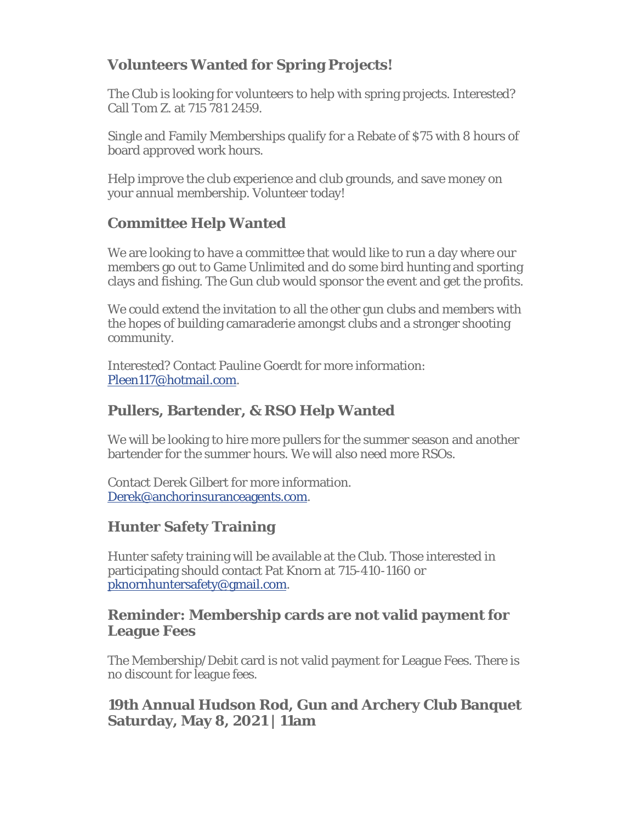# **Volunteers Wanted for Spring Projects!**

The Club is looking for volunteers to help with spring projects. Interested? Call Tom Z. at 715 781 2459.

Single and Family Memberships qualify for a Rebate of \$75 with 8 hours of board approved work hours.

Help improve the club experience and club grounds, and save money on your annual membership. Volunteer today!

## **Committee Help Wanted**

We are looking to have a committee that would like to run a day where our members go out to Game Unlimited and do some bird hunting and sporting clays and fishing. The Gun club would sponsor the event and get the profits.

We could extend the invitation to all the other gun clubs and members with the hopes of building camaraderie amongst clubs and a stronger shooting community.

Interested? Contact Pauline Goerdt for more information: Pleen117@hotmail.com.

### **Pullers, Bartender, & RSO Help Wanted**

We will be looking to hire more pullers for the summer season and another bartender for the summer hours. We will also need more RSOs.

Contact Derek Gilbert for more information. Derek@anchorinsuranceagents.com.

#### **Hunter Safety Training**

Hunter safety training will be available at the Club. Those interested in participating should contact Pat Knorn at 715-410-1160 or pknornhuntersafety@gmail.com.

#### **Reminder: Membership cards are not valid payment for League Fees**

The Membership/Debit card is not valid payment for League Fees. There is no discount for league fees.

### **19th Annual Hudson Rod, Gun and Archery Club Banquet Saturday, May 8, 2021 | 11am**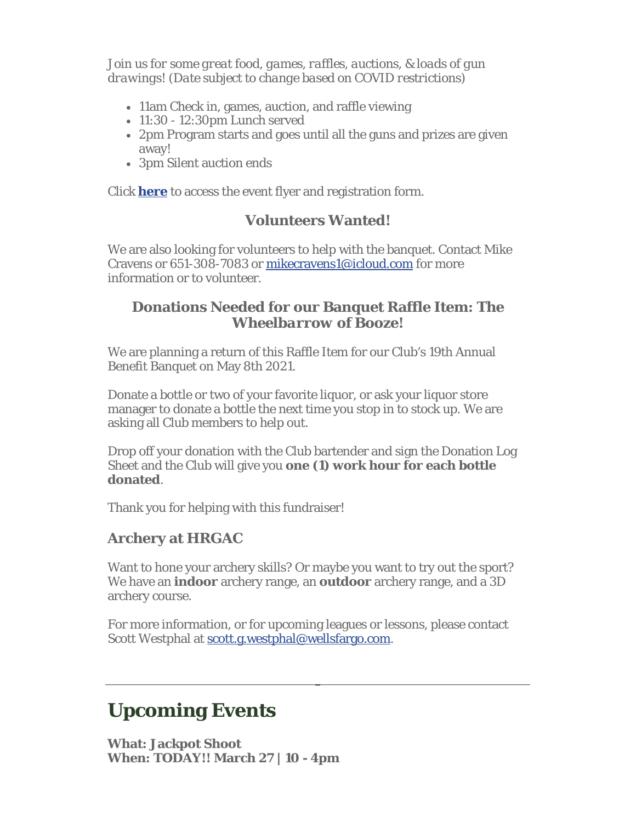*Join us for some great food, games, raffles, auctions, & loads of gun drawings! (Date subject to change based on COVID restrictions)*

- 11am Check in, games, auction, and raffle viewing
- 11:30 12:30pm Lunch served
- 2pm Program starts and goes until all the guns and prizes are given away!
- 3pm Silent auction ends

Click **here** to access the event flyer and registration form.

#### **Volunteers Wanted!**

We are also looking for volunteers to help with the banquet. Contact Mike Cravens or 651-308-7083 or mikecravens1@icloud.com for more information or to volunteer.

#### **Donations Needed for our Banquet Raffle Item:** *The Wheelbarrow of Booze!*

We are planning a return of this Raffle Item for our Club's 19th Annual Benefit Banquet on May 8th 2021.

Donate a bottle or two of your favorite liquor, or ask your liquor store manager to donate a bottle the next time you stop in to stock up. We are asking all Club members to help out.

Drop off your donation with the Club bartender and sign the Donation Log Sheet and the Club will give you **one (1) work hour for each bottle donated**.

Thank you for helping with this fundraiser!

## **Archery at HRGAC**

Want to hone your archery skills? Or maybe you want to try out the sport? We have an **indoor** archery range, an **outdoor** archery range, and a 3D archery course.

For more information, or for upcoming leagues or lessons, please contact Scott Westphal at scott.g.westphal@wellsfargo.com.

# **Upcoming Events**

**What: Jackpot Shoot When: TODAY!! March 27 | 10 - 4pm**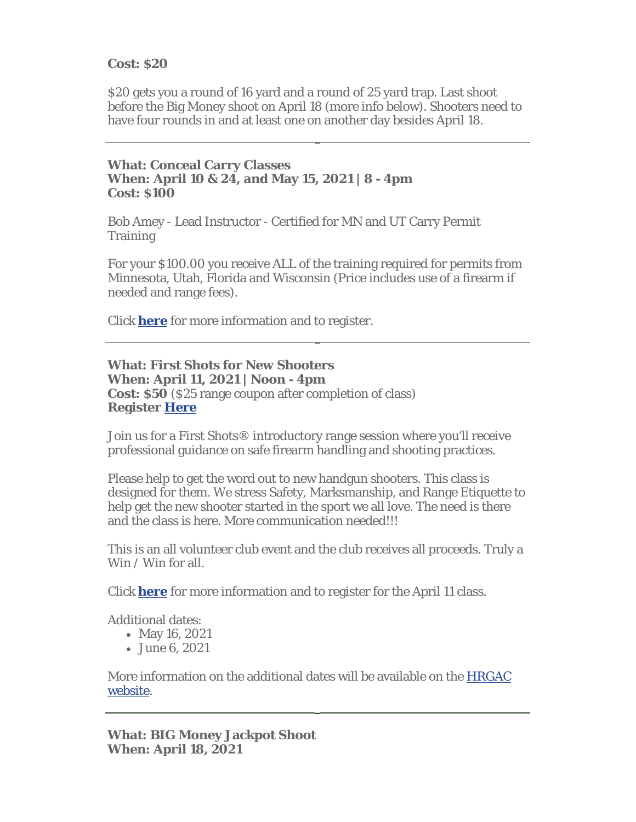#### **Cost: \$20**

\$20 gets you a round of 16 yard and a round of 25 yard trap. Last shoot before the Big Money shoot on April 18 (more info below). Shooters need to have four rounds in and at least one on another day besides April 18.

#### **What: Conceal Carry Classes When: April 10 & 24, and May 15, 2021 | 8 - 4pm Cost: \$100**

Bob Amey - Lead Instructor - Certified for MN and UT Carry Permit **Training** 

For your \$100.00 you receive ALL of the training required for permits from Minnesota, Utah, Florida and Wisconsin (Price includes use of a firearm if needed and range fees).

Click **here** for more information and to register.

#### **What: First Shots for New Shooters When: April 11, 2021 | Noon - 4pm Cost: \$50** (\$25 range coupon after completion of class) **Register Here**

Join us for a First Shots® introductory range session where you'll receive professional guidance on safe firearm handling and shooting practices.

Please help to get the word out to new handgun shooters. This class is designed for them. We stress Safety, Marksmanship, and Range Etiquette to help get the new shooter started in the sport we all love. The need is there and the class is here. More communication needed!!!

This is an all volunteer club event and the club receives all proceeds. Truly a Win / Win for all.

Click **here** for more information and to register for the April 11 class.

Additional dates:

- May 16, 2021
- June 6, 2021

More information on the additional dates will be available on the HRGAC website.

**What: BIG Money Jackpot Shoot When: April 18, 2021**